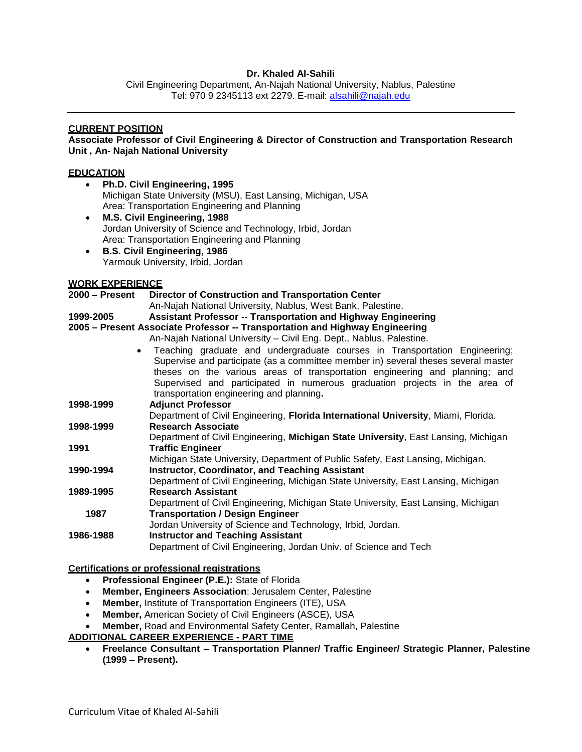## **Dr. Khaled Al-Sahili**

Civil Engineering Department, An-Najah National University, Nablus, Palestine Tel: 970 9 2345113 ext 2279. E-mail: [alsahili@najah.edu](mailto:alsahili@najah.edu)

# **CURRENT POSITION**

**Associate Professor of Civil Engineering & Director of Construction and Transportation Research Unit , An- Najah National University**

### **EDUCATION**

| $\bullet$<br>$\bullet$                     | Ph.D. Civil Engineering, 1995<br>Michigan State University (MSU), East Lansing, Michigan, USA<br>Area: Transportation Engineering and Planning<br>M.S. Civil Engineering, 1988<br>Jordan University of Science and Technology, Irbid, Jordan<br>Area: Transportation Engineering and Planning                           |
|--------------------------------------------|-------------------------------------------------------------------------------------------------------------------------------------------------------------------------------------------------------------------------------------------------------------------------------------------------------------------------|
| $\bullet$                                  | <b>B.S. Civil Engineering, 1986</b><br>Yarmouk University, Irbid, Jordan                                                                                                                                                                                                                                                |
| <b>WORK EXPERIENCE</b><br>$2000 -$ Present | <b>Director of Construction and Transportation Center</b><br>An-Najah National University, Nablus, West Bank, Palestine.<br><b>Assistant Professor -- Transportation and Highway Engineering</b>                                                                                                                        |
| 1999-2005<br>$\bullet$                     | 2005 - Present Associate Professor -- Transportation and Highway Engineering<br>An-Najah National University - Civil Eng. Dept., Nablus, Palestine.<br>Teaching graduate and undergraduate courses in Transportation Engineering;<br>Supervise and participate (as a committee member in) several theses several master |
|                                            | theses on the various areas of transportation engineering and planning; and<br>Supervised and participated in numerous graduation projects in the area of<br>transportation engineering and planning.                                                                                                                   |
| 1998-1999                                  | <b>Adjunct Professor</b><br>Department of Civil Engineering, Florida International University, Miami, Florida.                                                                                                                                                                                                          |
| 1998-1999                                  | <b>Research Associate</b><br>Department of Civil Engineering, Michigan State University, East Lansing, Michigan                                                                                                                                                                                                         |
| 1991                                       | <b>Traffic Engineer</b><br>Michigan State University, Department of Public Safety, East Lansing, Michigan.                                                                                                                                                                                                              |
| 1990-1994                                  | <b>Instructor, Coordinator, and Teaching Assistant</b><br>Department of Civil Engineering, Michigan State University, East Lansing, Michigan                                                                                                                                                                            |
| 1989-1995                                  | <b>Research Assistant</b><br>Department of Civil Engineering, Michigan State University, East Lansing, Michigan                                                                                                                                                                                                         |
| 1987                                       | <b>Transportation / Design Engineer</b><br>Jordan University of Science and Technology, Irbid, Jordan.                                                                                                                                                                                                                  |
| 1986-1988                                  | <b>Instructor and Teaching Assistant</b><br>Department of Civil Engineering, Jordan Univ. of Science and Tech                                                                                                                                                                                                           |
|                                            |                                                                                                                                                                                                                                                                                                                         |

### **Certifications or professional registrations**

- **Professional Engineer (P.E.):** State of Florida
- **Member, Engineers Association**: Jerusalem Center, Palestine
- **Member,** Institute of Transportation Engineers (ITE), USA
- **Member,** American Society of Civil Engineers (ASCE), USA
- **Member,** Road and Environmental Safety Center, Ramallah, Palestine

### **ADDITIONAL CAREER EXPERIENCE - PART TIME**

 **Freelance Consultant – Transportation Planner/ Traffic Engineer/ Strategic Planner, Palestine (1999 – Present).**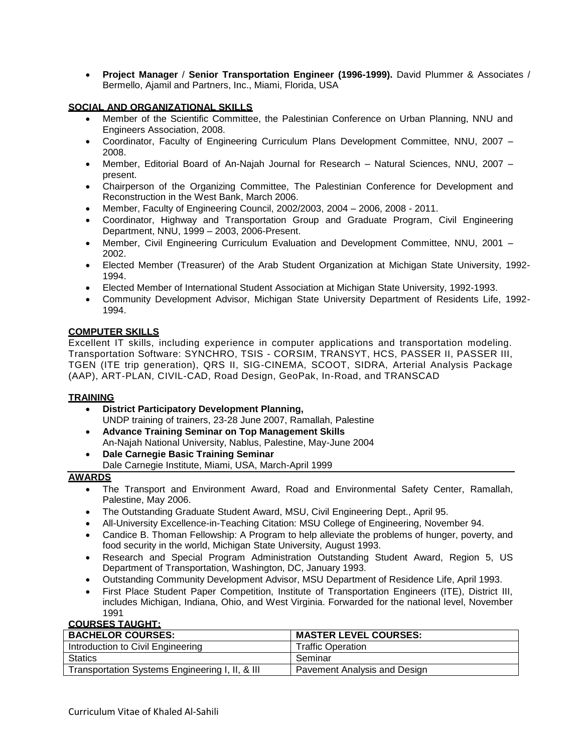**Project Manager** / **Senior Transportation Engineer (1996-1999).** David Plummer & Associates / Bermello, Ajamil and Partners, Inc., Miami, Florida, USA

## **SOCIAL AND ORGANIZATIONAL SKILLS**

- Member of the Scientific Committee, the Palestinian Conference on Urban Planning, NNU and Engineers Association, 2008.
- Coordinator, Faculty of Engineering Curriculum Plans Development Committee, NNU, 2007 2008.
- Member, Editorial Board of An-Najah Journal for Research Natural Sciences, NNU, 2007 present.
- Chairperson of the Organizing Committee, The Palestinian Conference for Development and Reconstruction in the West Bank, March 2006.
- Member, Faculty of Engineering Council, 2002/2003, 2004 2006, 2008 2011.
- Coordinator, Highway and Transportation Group and Graduate Program, Civil Engineering Department, NNU, 1999 – 2003, 2006-Present.
- Member, Civil Engineering Curriculum Evaluation and Development Committee, NNU, 2001 2002.
- Elected Member (Treasurer) of the Arab Student Organization at Michigan State University, 1992- 1994.
- Elected Member of International Student Association at Michigan State University, 1992-1993.
- Community Development Advisor, Michigan State University Department of Residents Life, 1992- 1994.

## **COMPUTER SKILLS**

Excellent IT skills, including experience in computer applications and transportation modeling. Transportation Software: SYNCHRO, TSIS - CORSIM, TRANSYT, HCS, PASSER II, PASSER III, TGEN (ITE trip generation), QRS II, SIG-CINEMA, SCOOT, SIDRA, Arterial Analysis Package (AAP), ART-PLAN, CIVIL-CAD, Road Design, GeoPak, In-Road, and TRANSCAD

### **TRAINING**

- **District Participatory Development Planning,**  UNDP training of trainers, 23-28 June 2007, Ramallah, Palestine
- **Advance Training Seminar on Top Management Skills** An-Najah National University, Nablus, Palestine, May-June 2004
- **Dale Carnegie Basic Training Seminar**  Dale Carnegie Institute, Miami, USA, March-April 1999

### **AWARDS**

- The Transport and Environment Award, Road and Environmental Safety Center, Ramallah, Palestine, May 2006.
- The Outstanding Graduate Student Award, MSU, Civil Engineering Dept., April 95.
- All-University Excellence-in-Teaching Citation: MSU College of Engineering, November 94.
- Candice B. Thoman Fellowship: A Program to help alleviate the problems of hunger, poverty, and food security in the world, Michigan State University, August 1993.
- Research and Special Program Administration Outstanding Student Award, Region 5, US Department of Transportation, Washington, DC, January 1993.
- Outstanding Community Development Advisor, MSU Department of Residence Life, April 1993.
- First Place Student Paper Competition, Institute of Transportation Engineers (ITE), District III, includes Michigan, Indiana, Ohio, and West Virginia. Forwarded for the national level, November 1991

**COURSES TAUGHT:**

| <b>BACHELOR COURSES:</b>                        | <b>MASTER LEVEL COURSES:</b> |
|-------------------------------------------------|------------------------------|
| Introduction to Civil Engineering               | <b>Traffic Operation</b>     |
| <b>Statics</b>                                  | Seminar                      |
| Transportation Systems Engineering I, II, & III | Pavement Analysis and Design |